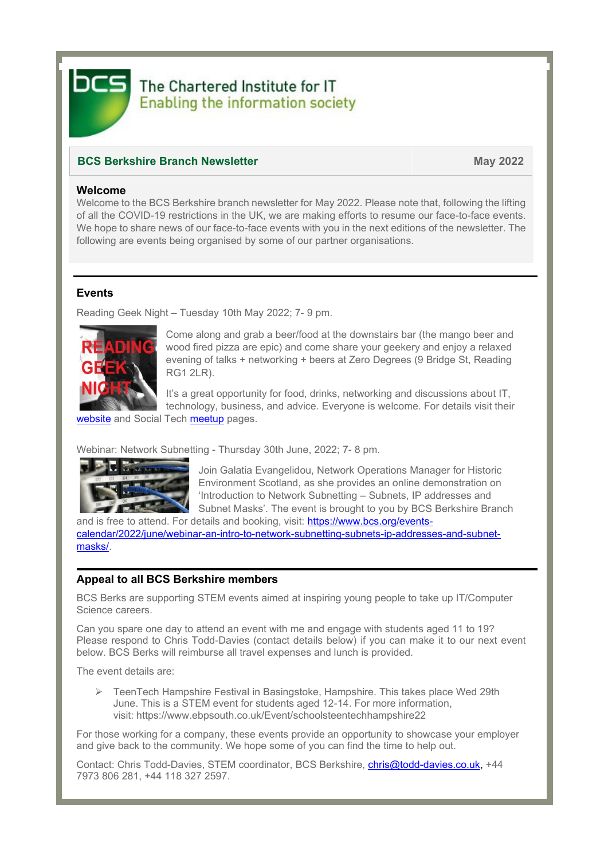

# The Chartered Institute for IT **Enabling the information society**

# **BCS Berkshire Branch Newsletter May 2022**

## **Welcome**

Welcome to the BCS Berkshire branch newsletter for May 2022. Please note that, following the lifting of all the COVID-19 restrictions in the UK, we are making efforts to resume our face-to-face events. We hope to share news of our face-to-face events with you in the next editions of the newsletter. The following are events being organised by some of our partner organisations.

## **Events**

Reading Geek Night – Tuesday 10th May 2022; 7- 9 pm.



Come along and grab a beer/food at the downstairs bar (the mango beer and wood fired pizza are epic) and come share your geekery and enjoy a relaxed evening of talks + networking + beers at Zero Degrees (9 Bridge St, Reading RG1 2LR).

It's a great opportunity for food, drinks, networking and discussions about IT, technology, business, and advice. Everyone is welcome. For details visit their

[website](https://rdggeeknight.wordpress.com/) and [Social Tech meetup](https://www.meetup.com/socialtechgroup/) pages.

Webinar: Network Subnetting - Thursday 30th June, 2022; 7- 8 pm.



Join Galatia Evangelidou, Network Operations Manager for Historic Environment Scotland, as she provides an online demonstration on 'Introduction to Network Subnetting – Subnets, IP addresses and Subnet Masks'. The event is brought to you by BCS Berkshire Branch

and is free to attend. For details and booking, visit: [https://www.bcs.org/events](https://www.bcs.org/events-calendar/2022/june/webinar-an-intro-to-network-subnetting-subnets-ip-addresses-and-subnet-masks/)[calendar/2022/june/webinar-an-intro-to-network-subnetting-subnets-ip-addresses-and-subnet](https://www.bcs.org/events-calendar/2022/june/webinar-an-intro-to-network-subnetting-subnets-ip-addresses-and-subnet-masks/)[masks/.](https://www.bcs.org/events-calendar/2022/june/webinar-an-intro-to-network-subnetting-subnets-ip-addresses-and-subnet-masks/)

## **Appeal to all BCS Berkshire members**

BCS Berks are supporting STEM events aimed at inspiring young people to take up IT/Computer Science careers.

Can you spare one day to attend an event with me and engage with students aged 11 to 19? Please respond to Chris Todd-Davies (contact details below) if you can make it to our next event below. BCS Berks will reimburse all travel expenses and lunch is provided.

The event details are:

➢ TeenTech Hampshire Festival in Basingstoke, Hampshire. This takes place Wed 29th June. This is a STEM event for students aged 12-14. For more information, visit: <https://www.ebpsouth.co.uk/Event/schoolsteentechhampshire22>

For those working for a company, these events provide an opportunity to showcase your employer and give back to the community. We hope some of you can find the time to help out.

Contact: Chris Todd-Davies, STEM coordinator, BCS Berkshire, [chris@todd-davies.co.uk,](mailto:chris@todd-davies.co.uk) +44 7973 806 281, +44 118 327 2597.